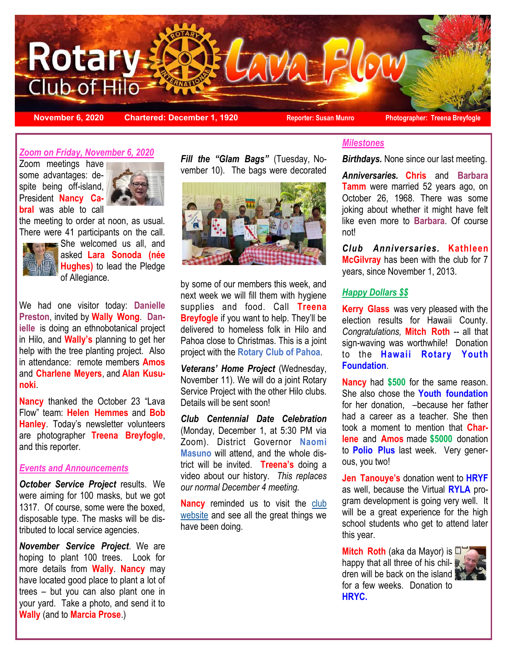

**November 6, 2020 Chartered: December 1, 1920** Peporter: Susan Munro Photographer: Treena Breyfogle

## *Zoom on Friday, November 6, 2020*

Zoom meetings have some advantages: despite being off-island, President **Nancy Cabral** was able to call



the meeting to order at noon, as usual. There were 41 participants on the call.



She welcomed us all, and asked **Lara Sonoda (née Hughes)** to lead the Pledge of Allegiance.

We had one visitor today: **Danielle Preston**, invited by **Wally Wong**. **Danielle** is doing an ethnobotanical project in Hilo, and **Wally's** planning to get her help with the tree planting project. Also in attendance: remote members **Amos**  and **Charlene Meyers**, and **Alan Kusunoki**.

**Nancy** thanked the October 23 "Lava Flow" team: **Helen Hemmes** and **Bob Hanley**. Today's newsletter volunteers are photographer **Treena Breyfogle**, and this reporter.

## *Events and Announcements*

*October Service Project* results. We were aiming for 100 masks, but we got 1317. Of course, some were the boxed, disposable type. The masks will be distributed to local service agencies.

*November Service Project*. We are hoping to plant 100 trees. Look for more details from **Wally**. **Nancy** may have located good place to plant a lot of trees – but you can also plant one in your yard. Take a photo, and send it to **Wally** (and to **Marcia Prose**.)

*Fill the "Glam Bags"* (Tuesday, November 10). The bags were decorated



by some of our members this week, and next week we will fill them with hygiene supplies and food. Call **Treena Breyfogle** if you want to help. They'll be delivered to homeless folk in Hilo and Pahoa close to Christmas. This is a joint project with the **Rotary Club of Pahoa**.

*Veterans' Home Project* (Wednesday, November 11). We will do a joint Rotary Service Project with the other Hilo clubs. Details will be sent soon!

*Club Centennial Date Celebration* (Monday, December 1, at 5:30 PM via Zoom). District Governor **Naomi Masuno** will attend, and the whole district will be invited. **Treena's** doing a video about our history. *This replaces our normal December 4 meeting.*

**Nancy** reminded us to visit the [club](http://hilorotary.org/)  [website](http://hilorotary.org/) and see all the great things we have been doing.

# *Milestones*

*Birthdays.* None since our last meeting.

*Anniversaries.* **Chris** and **Barbara Tamm** were married 52 years ago, on October 26, 1968. There was some joking about whether it might have felt like even more to **Barbara**. Of course not!

*Club Anniversaries.* **Kathleen McGilvray** has been with the club for 7 years, since November 1, 2013.

## *Happy Dollars \$\$*

**Kerry Glass** was very pleased with the election results for Hawaii County. *Congratulations,* **Mitch Roth** *--* all that sign-waving was worthwhile! Donation to the **Hawaii Rotary Youth Foundation**.

**Nancy** had **\$500** for the same reason. She also chose the **Youth foundation**  for her donation, –because her father had a career as a teacher. She then took a moment to mention that **Charlene** and **Amos** made **\$5000** donation to **Polio Plus** last week. Very generous, you two!

**Jen Tanouye's** donation went to **HRYF** as well, because the Virtual **RYLA** program development is going very well. It will be a great experience for the high school students who get to attend later this year.

**Mitch Roth** (aka da Mayor) is happy that all three of his children will be back on the island for a few weeks. Donation to **HRYC.**